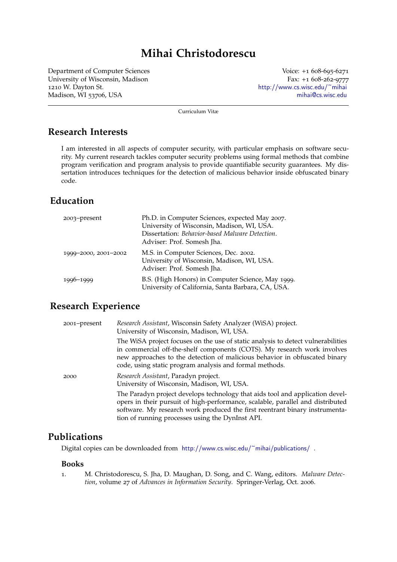# **Mihai Christodorescu**

Department of Computer Sciences University of Wisconsin, Madison 1210 W. Dayton St. Madison, WI 53706, USA

Voice: +1 608-695-6271 Fax: +1 608-262-9777 <http://www.cs.wisc.edu/~mihai> [mihai@cs.wisc.edu](mailto:mihai@cs.wisc.edu)

Curriculum Vitæ

## **Research Interests**

I am interested in all aspects of computer security, with particular emphasis on software security. My current research tackles computer security problems using formal methods that combine program verification and program analysis to provide quantifiable security guarantees. My dissertation introduces techniques for the detection of malicious behavior inside obfuscated binary code.

## **Education**

| 2003-present         | Ph.D. in Computer Sciences, expected May 2007.<br>University of Wisconsin, Madison, WI, USA.<br>Dissertation: Behavior-based Malware Detection.<br>Adviser: Prof. Somesh Jha. |
|----------------------|-------------------------------------------------------------------------------------------------------------------------------------------------------------------------------|
| 1999-2000, 2001-2002 | M.S. in Computer Sciences, Dec. 2002.<br>University of Wisconsin, Madison, WI, USA.<br>Adviser: Prof. Somesh Jha.                                                             |
| 1996-1999            | B.S. (High Honors) in Computer Science, May 1999.<br>University of California, Santa Barbara, CA, USA.                                                                        |

## **Research Experience**

| 2001-present | Research Assistant, Wisconsin Safety Analyzer (WiSA) project.<br>University of Wisconsin, Madison, WI, USA.                                                                                                                                                                                           |
|--------------|-------------------------------------------------------------------------------------------------------------------------------------------------------------------------------------------------------------------------------------------------------------------------------------------------------|
|              | The WiSA project focuses on the use of static analysis to detect vulnerabilities<br>in commercial off-the-shelf components (COTS). My research work involves<br>new approaches to the detection of malicious behavior in obfuscated binary<br>code, using static program analysis and formal methods. |
| 2000         | Research Assistant, Paradyn project.<br>University of Wisconsin, Madison, WI, USA.                                                                                                                                                                                                                    |
|              | The Paradyn project develops technology that aids tool and application devel-<br>opers in their pursuit of high-performance, scalable, parallel and distributed<br>software. My research work produced the first reentrant binary instrumenta-<br>tion of running processes using the DynInst API.    |

## **Publications**

Digital copies can be downloaded from <http://www.cs.wisc.edu/~mihai/publications/>.

#### **Books**

1. M. Christodorescu, S. Jha, D. Maughan, D. Song, and C. Wang, editors. *Malware Detection*, volume 27 of *Advances in Information Security*. Springer-Verlag, Oct. 2006.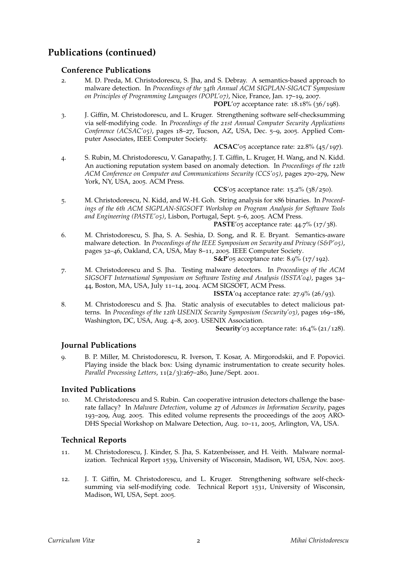## **Publications (continued)**

#### **Conference Publications**

2. M. D. Preda, M. Christodorescu, S. Jha, and S. Debray. A semantics-based approach to malware detection. In *Proceedings of the 34th Annual ACM SIGPLAN-SIGACT Symposium on Principles of Programming Languages (POPL'07)*, Nice, France, Jan. 17–19, 2007.

**POPL**'07 acceptance rate: 18.18% (36/198).

3. J. Giffin, M. Christodorescu, and L. Kruger. Strengthening software self-checksumming via self-modifying code. In *Proceedings of the 21st Annual Computer Security Applications Conference (ACSAC'05)*, pages 18–27, Tucson, AZ, USA, Dec. 5–9, 2005. Applied Computer Associates, IEEE Computer Society.

**ACSAC**'05 acceptance rate: 22.8% (45/197).

4. S. Rubin, M. Christodorescu, V. Ganapathy, J. T. Giffin, L. Kruger, H. Wang, and N. Kidd. An auctioning reputation system based on anomaly detection. In *Proceedings of the 12th ACM Conference on Computer and Communications Security (CCS'05)*, pages 270–279, New York, NY, USA, 2005. ACM Press.

**CCS**'05 acceptance rate: 15.2% (38/250).

5. M. Christodorescu, N. Kidd, and W.-H. Goh. String analysis for x86 binaries. In *Proceedings of the 6th ACM SIGPLAN-SIGSOFT Workshop on Program Analysis for Software Tools and Engineering (PASTE'05)*, Lisbon, Portugal, Sept. 5–6, 2005. ACM Press.

**PASTE**'05 acceptance rate: 44.7% (17/38).

6. M. Christodorescu, S. Jha, S. A. Seshia, D. Song, and R. E. Bryant. Semantics-aware malware detection. In *Proceedings of the IEEE Symposium on Security and Privacy (S&P'05)*, pages 32–46, Oakland, CA, USA, May 8–11, 2005. IEEE Computer Society.

**S&P**'05 acceptance rate: 8.9% (17/192).

7. M. Christodorescu and S. Jha. Testing malware detectors. In *Proceedings of the ACM SIGSOFT International Symposium on Software Testing and Analysis (ISSTA'04)*, pages 34– 44, Boston, MA, USA, July 11–14, 2004. ACM SIGSOFT, ACM Press.

**ISSTA**'04 acceptance rate: 27.9% (26/93).

8. M. Christodorescu and S. Jha. Static analysis of executables to detect malicious patterns. In *Proceedings of the 12th USENIX Security Symposium (Security'03)*, pages 169–186, Washington, DC, USA, Aug. 4–8, 2003. USENIX Association.

**Security**'03 acceptance rate: 16.4% (21/128).

#### **Journal Publications**

9. B. P. Miller, M. Christodorescu, R. Iverson, T. Kosar, A. Mirgorodskii, and F. Popovici. Playing inside the black box: Using dynamic instrumentation to create security holes. *Parallel Processing Letters*, 11(2/3):267–280, June/Sept. 2001.

#### **Invited Publications**

10. M. Christodorescu and S. Rubin. Can cooperative intrusion detectors challenge the baserate fallacy? In *Malware Detection*, volume 27 of *Advances in Information Security*, pages 193–209, Aug. 2005. This edited volume represents the proceedings of the 2005 ARO-DHS Special Workshop on Malware Detection, Aug. 10–11, 2005, Arlington, VA, USA.

#### **Technical Reports**

- 11. M. Christodorescu, J. Kinder, S. Jha, S. Katzenbeisser, and H. Veith. Malware normalization. Technical Report 1539, University of Wisconsin, Madison, WI, USA, Nov. 2005.
- 12. J. T. Giffin, M. Christodorescu, and L. Kruger. Strengthening software self-checksumming via self-modifying code. Technical Report 1531, University of Wisconsin, Madison, WI, USA, Sept. 2005.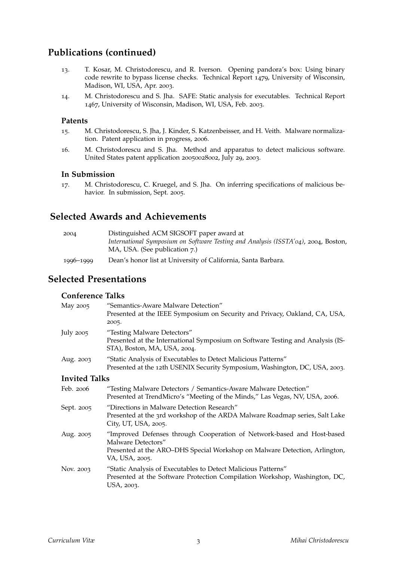## **Publications (continued)**

- 13. T. Kosar, M. Christodorescu, and R. Iverson. Opening pandora's box: Using binary code rewrite to bypass license checks. Technical Report 1479, University of Wisconsin, Madison, WI, USA, Apr. 2003.
- 14. M. Christodorescu and S. Jha. SAFE: Static analysis for executables. Technical Report 1467, University of Wisconsin, Madison, WI, USA, Feb. 2003.

#### **Patents**

- 15. M. Christodorescu, S. Jha, J. Kinder, S. Katzenbeisser, and H. Veith. Malware normalization. Patent application in progress, 2006.
- 16. M. Christodorescu and S. Jha. Method and apparatus to detect malicious software. United States patent application 20050028002, July 29, 2003.

#### **In Submission**

17. M. Christodorescu, C. Kruegel, and S. Jha. On inferring specifications of malicious behavior. In submission, Sept. 2005.

## **Selected Awards and Achievements**

| 2004      | Distinguished ACM SIGSOFT paper award at                                           |
|-----------|------------------------------------------------------------------------------------|
|           | International Symposium on Software Testing and Analysis (ISSTA'04), 2004, Boston, |
|           | MA, USA. (See publication 7.)                                                      |
| 1996-1999 | Dean's honor list at University of California, Santa Barbara.                      |

## **Selected Presentations**

### **Conference Talks**

| May 2005             | "Semantics-Aware Malware Detection"<br>Presented at the IEEE Symposium on Security and Privacy, Oakland, CA, USA,<br>2005.                                                                   |
|----------------------|----------------------------------------------------------------------------------------------------------------------------------------------------------------------------------------------|
| July 2005            | "Testing Malware Detectors"<br>Presented at the International Symposium on Software Testing and Analysis (IS-<br>STA), Boston, MA, USA, 2004.                                                |
| Aug. 2003            | "Static Analysis of Executables to Detect Malicious Patterns"<br>Presented at the 12th USENIX Security Symposium, Washington, DC, USA, 2003.                                                 |
| <b>Invited Talks</b> |                                                                                                                                                                                              |
| Feb. 2006            | "Testing Malware Detectors / Semantics-Aware Malware Detection"<br>Presented at TrendMicro's "Meeting of the Minds," Las Vegas, NV, USA, 2006.                                               |
| Sept. 2005           | "Directions in Malware Detection Research"<br>Presented at the 3rd workshop of the ARDA Malware Roadmap series, Salt Lake<br>City, UT, USA, 2005.                                            |
| Aug. 2005            | "Improved Defenses through Cooperation of Network-based and Host-based<br>Malware Detectors"<br>Presented at the ARO-DHS Special Workshop on Malware Detection, Arlington,<br>VA, USA, 2005. |
| Nov. 2003            | "Static Analysis of Executables to Detect Malicious Patterns"<br>Presented at the Software Protection Compilation Workshop, Washington, DC,<br>USA, 2003.                                    |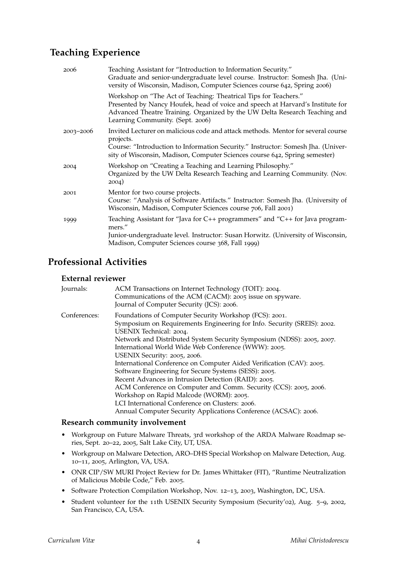## **Teaching Experience**

| 2006          | Teaching Assistant for "Introduction to Information Security."<br>Graduate and senior-undergraduate level course. Instructor: Somesh Jha. (Uni-<br>versity of Wisconsin, Madison, Computer Sciences course 642, Spring 2006)                                         |
|---------------|----------------------------------------------------------------------------------------------------------------------------------------------------------------------------------------------------------------------------------------------------------------------|
|               | Workshop on "The Act of Teaching: Theatrical Tips for Teachers."<br>Presented by Nancy Houfek, head of voice and speech at Harvard's Institute for<br>Advanced Theatre Training. Organized by the UW Delta Research Teaching and<br>Learning Community. (Sept. 2006) |
| $2003 - 2006$ | Invited Lecturer on malicious code and attack methods. Mentor for several course                                                                                                                                                                                     |
|               | projects.<br>Course: "Introduction to Information Security." Instructor: Somesh Jha. (Univer-<br>sity of Wisconsin, Madison, Computer Sciences course 642, Spring semester)                                                                                          |
| 2004          | Workshop on "Creating a Teaching and Learning Philosophy."<br>Organized by the UW Delta Research Teaching and Learning Community. (Nov.<br>2004)                                                                                                                     |
| 2001          | Mentor for two course projects.<br>Course: "Analysis of Software Artifacts." Instructor: Somesh Jha. (University of<br>Wisconsin, Madison, Computer Sciences course 706, Fall 2001)                                                                                  |
| 1999          | Teaching Assistant for "Java for C++ programmers" and "C++ for Java program-<br>mers."<br>Junior-undergraduate level. Instructor: Susan Horwitz. (University of Wisconsin,<br>Madison, Computer Sciences course 368, Fall 1999)                                      |

## **Professional Activities**

### **External reviewer**

| Journals:    | ACM Transactions on Internet Technology (TOIT): 2004.<br>Communications of the ACM (CACM): 2005 issue on spyware.<br>Journal of Computer Security (JCS): 2006.                                                                                                                                                                                                                                                                                                                                                                                                                                                                                                                                                                                              |
|--------------|-------------------------------------------------------------------------------------------------------------------------------------------------------------------------------------------------------------------------------------------------------------------------------------------------------------------------------------------------------------------------------------------------------------------------------------------------------------------------------------------------------------------------------------------------------------------------------------------------------------------------------------------------------------------------------------------------------------------------------------------------------------|
| Conferences: | Foundations of Computer Security Workshop (FCS): 2001.<br>Symposium on Requirements Engineering for Info. Security (SREIS): 2002.<br>USENIX Technical: 2004.<br>Network and Distributed System Security Symposium (NDSS): 2005, 2007.<br>International World Wide Web Conference (WWW): 2005.<br>USENIX Security: 2005, 2006.<br>International Conference on Computer Aided Verification (CAV): 2005.<br>Software Engineering for Secure Systems (SESS): 2005.<br>Recent Advances in Intrusion Detection (RAID): 2005.<br>ACM Conference on Computer and Comm. Security (CCS): 2005, 2006.<br>Workshop on Rapid Malcode (WORM): 2005.<br>LCI International Conference on Clusters: 2006.<br>Annual Computer Security Applications Conference (ACSAC): 2006. |

### **Research community involvement**

- Workgroup on Future Malware Threats, 3rd workshop of the ARDA Malware Roadmap series, Sept. 20–22, 2005, Salt Lake City, UT, USA.
- Workgroup on Malware Detection, ARO–DHS Special Workshop on Malware Detection, Aug. 10–11, 2005, Arlington, VA, USA.
- ONR CIP/SW MURI Project Review for Dr. James Whittaker (FIT), "Runtime Neutralization of Malicious Mobile Code," Feb. 2005.
- Software Protection Compilation Workshop, Nov. 12–13, 2003, Washington, DC, USA.
- Student volunteer for the 11th USENIX Security Symposium (Security'02), Aug. 5–9, 2002, San Francisco, CA, USA.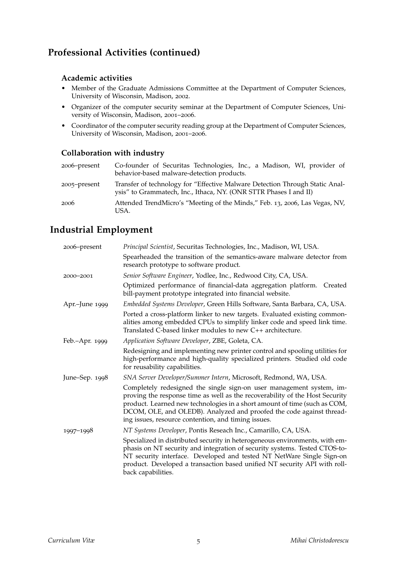## **Professional Activities (continued)**

### **Academic activities**

- Member of the Graduate Admissions Committee at the Department of Computer Sciences, University of Wisconsin, Madison, 2002.
- Organizer of the computer security seminar at the Department of Computer Sciences, University of Wisconsin, Madison, 2001–2006.
- Coordinator of the computer security reading group at the Department of Computer Sciences, University of Wisconsin, Madison, 2001–2006.

### **Collaboration with industry**

| 2006-present | Co-founder of Securitas Technologies, Inc., a Madison, WI, provider of<br>behavior-based malware-detection products.                              |
|--------------|---------------------------------------------------------------------------------------------------------------------------------------------------|
| 2005–present | Transfer of technology for "Effective Malware Detection Through Static Anal-<br>ysis" to Grammatech, Inc., Ithaca, NY. (ONR STTR Phases I and II) |
| 2006         | Attended TrendMicro's "Meeting of the Minds," Feb. 13, 2006, Las Vegas, NV,<br>USA.                                                               |

## **Industrial Employment**

| 2006-present   | Principal Scientist, Securitas Technologies, Inc., Madison, WI, USA.                                                                                                                                                                                                                                                                                             |
|----------------|------------------------------------------------------------------------------------------------------------------------------------------------------------------------------------------------------------------------------------------------------------------------------------------------------------------------------------------------------------------|
|                | Spearheaded the transition of the semantics-aware malware detector from<br>research prototype to software product.                                                                                                                                                                                                                                               |
| 2000-2001      | Senior Software Engineer, Yodlee, Inc., Redwood City, CA, USA.                                                                                                                                                                                                                                                                                                   |
|                | Optimized performance of financial-data aggregation platform. Created<br>bill-payment prototype integrated into financial website.                                                                                                                                                                                                                               |
| Apr.-June 1999 | Embedded Systems Developer, Green Hills Software, Santa Barbara, CA, USA.                                                                                                                                                                                                                                                                                        |
|                | Ported a cross-platform linker to new targets. Evaluated existing common-<br>alities among embedded CPUs to simplify linker code and speed link time.<br>Translated C-based linker modules to new C++ architecture.                                                                                                                                              |
| Feb.-Apr. 1999 | Application Software Developer, ZBE, Goleta, CA.                                                                                                                                                                                                                                                                                                                 |
|                | Redesigning and implementing new printer control and spooling utilities for<br>high-performance and high-quality specialized printers. Studied old code<br>for reusability capabilities.                                                                                                                                                                         |
| June-Sep. 1998 | SNA Server Developer/Summer Intern, Microsoft, Redmond, WA, USA.                                                                                                                                                                                                                                                                                                 |
|                | Completely redesigned the single sign-on user management system, im-<br>proving the response time as well as the recoverability of the Host Security<br>product. Learned new technologies in a short amount of time (such as COM,<br>DCOM, OLE, and OLEDB). Analyzed and proofed the code against thread-<br>ing issues, resource contention, and timing issues. |
| 1997-1998      | NT Systems Developer, Pontis Reseach Inc., Camarillo, CA, USA.                                                                                                                                                                                                                                                                                                   |
|                | Specialized in distributed security in heterogeneous environments, with em-<br>phasis on NT security and integration of security systems. Tested CTOS-to-<br>NT security interface. Developed and tested NT NetWare Single Sign-on<br>product. Developed a transaction based unified NT security API with roll-<br>back capabilities.                            |